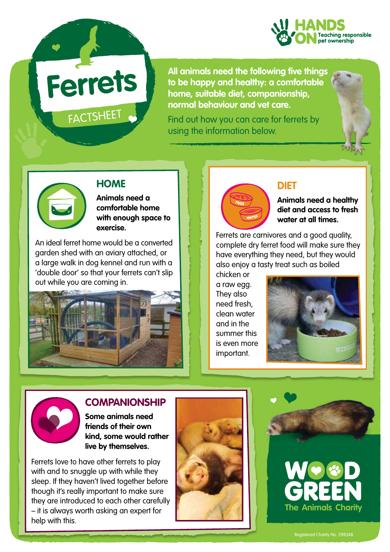

**Ferrets**

FACTSHEET

**All animals need the following five things to be happy and healthy: a comfortable home, suitable diet, companionship, normal behaviour and vet care.** 

Find out how you can care for ferrets by using the information below.





#### **HOME**

**Animals need a comfortable home with enough space to exercise.**

An ideal ferret home would be a converted garden shed with an aviary attached, or a large walk in dog kennel and run with a 'double door' so that your ferrets can't slip out while you are coming in.





#### **DIET**

**Animals need a healthy diet and access to fresh water at all times.**

Ferrets are carnivores and a good quality, complete dry ferret food will make sure they have everything they need, but they would also enjoy a tasty treat such as boiled

chicken or a raw egg. They also need fresh, clean water and in the summer this is even more important.





#### **COMPANIONSHIP**

**Some animals need friends of their own kind, some would rather live by themselves.** 

Ferrets love to have other ferrets to play with and to snuggle up with while they sleep. If they haven't lived together before though it's really important to make sure they are introduced to each other carefully – it is always worth asking an expert for help with this.